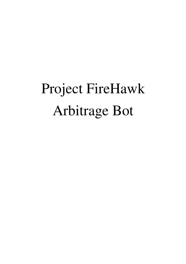# Project FireHawk Arbitrage Bot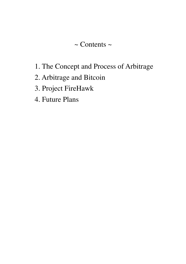#### $\sim$  Contents  $\sim$

- 1. The Concept and Process of Arbitrage
- 2. Arbitrage and Bitcoin
- 3. Project FireHawk
- 4. Future Plans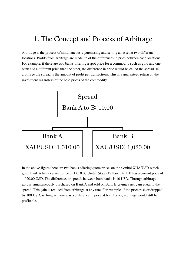## 1. The Concept and Process of Arbitrage

Arbitrage is the process of simultaneously purchasing and selling an asset at two different locations. Profits from arbitrage are made up of the differences in price between each locations. For example, if there are two banks offering a spot price for a commodity such as gold and one bank had a different price than the other, the difference in price would be called the spread. In arbitrage the spread is the amount of profit per transactions. This is a guaranteed return on the investment regardless of the base prices of the commodity.



In the above figure there are two banks offering quote prices on the symbol XUA/USD which is gold. Bank A has a current price of 1,010.00 United States Dollars. Bank B has a current price of 1,020.00 USD. The difference, or spread, between both banks is 10 USD. Through arbitrage, gold is simultaneously purchased on Bank A and sold on Bank B giving a net gain equal to the spread. This gain is realized from arbitrage at any rate. For example, if the price rose or dropped by 100 USD, so long as there was a difference in price at both banks, arbitrage would still be profitable.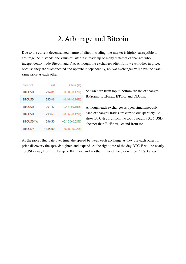#### 2. Arbitrage and Bitcoin

Due to the current decentralized nature of Bitcoin trading, the market is highly susceptible to arbitrage. As it stands, the value of Bitcoin is made up of many different exchanges who independently trade Bitcoin and Fiat. Although the exchanges often follow each other in price, because they are disconnected and operate independently, no two exchanges will have the exact same price as each other.

| Symbol        | Last    | Chng (%)         |
|---------------|---------|------------------|
| <b>BTCUSD</b> | 294.81  | $-0.50(-0.17%)$  |
| <b>BTCUSD</b> | 295.09  | $-0.46(-0.16%)$  |
| <b>BTCUSD</b> | 291.47  | $+0.47(+0.16%)$  |
| <b>BTCUSD</b> | 293.65  | $-0.36(-0.12%)$  |
| BTCUSD1W      | 296.50  | $+0.10 (+0.03%)$ |
| <b>BTCCNY</b> | 1835.00 | $-0.36(-0.02%)$  |

Shown here from top to bottom are the exchanges: BitStamp, BitFinex, BTC-E and OkCoin.

Although each exchanges is open simultaneously, each exchange's trades are carried out sparately. As show BTC-E , 3rd from the top is roughly 3.26 USD cheaper than BitFinex, second from top.

As the prices fluctuate over time, the spread between each exchange as they use each other for price discovery the spreads tighten and expand. At the right time of the day BTC-E will be nearly 10 USD away from BitStamp or BitFinex, and at other times of the day will be 2 USD away.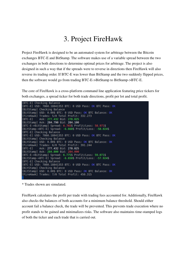## 3. Project FireHawk

Project FireHawk is designed to be an automated system for arbitrage between the Bitcoin exchanges BTC-E and BitStamp. The software makes use of a variable spread between the two exchanges in both directions to determine optimal prices for arbitrage. The project is also designed in such a way that if the spreads were to reverse in directions then FireHawk will also reverse its trading order. If BTC-E was lower than BitStamp and the two suddenly flipped prices, then the software would go from trading BTC-E->BitStamp to BitStamp->BTC-E.

The core of FireHawk is a cross-platform command line application featuring price tickers for both exchanges, a spread ticker for both trade directions, profit per lot and total profit.



\* Trades shown are simulated.

FireHawk calculates the profit per trade with trading fees accounted for. Additionally, FireHawk also checks the balances of both accounts for a minimum balance threshold. Should either account fail a balance check, the trade will be prevented. This prevents trade execution where no profit stands to be gained and minimalizes risks. The software also maintains time-stamped logs of both the ticker and each trade that is carried out.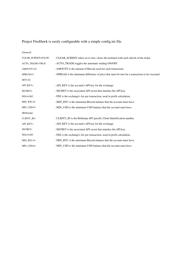Project FireHawk is easily configurable with a simple config.ini file.

| [General]          |                                                                                                |
|--------------------|------------------------------------------------------------------------------------------------|
| CLEAR_SCREEN=FALSE | - CLEAR_SCREEN when set to true, clears the terminal with each refresh of the ticker.          |
| AUTO_TRADE=TRUE    | - AUTO_TRADE toggles the automatic trading ON/OFF.                                             |
| AMOUNT=10          | - AMOUNT is the amount of Bitcoin used for each transaction.                                   |
| SPREAD=5           | - SPREAD is the minimum difference of price that must be met for a transaction to be executed. |
| $[BTC-E]$          |                                                                                                |
| API_KEY=           | - API_KEY is the account's API key for the exchange.                                           |
| SECRET=            | - SECRET is the associated API secret that matches the API key.                                |
| $FEE=0.002$        | - FEE is the exchange's fee per transaction, used in profit calculation.                       |
| MIN_BTC=0          | - MIN_BTC is the minimum Bitcoin balance that the account must have.                           |
| $MIN$ $USD=0$      | - MIN USD is the minimum USD balance that the account must have.                               |
| [BitStamp]         |                                                                                                |
| CLIENT ID=         | - CLIENT_ID is the BitStamp API specific Client Identification number.                         |
| API KEY=           | - API_KEY is the account's API key for the exchange.                                           |
| SECRET=            | - SECRET is the associated API secret that matches the API key.                                |
| $FEE=0.005$        | - FEE is the exchange's fee per transaction, used in profit calculation.                       |
| MIN_BTC=0          | - MIN BTC is the minimum Bitcoin balance that the account must have.                           |
| $MIN$ $USD=0$      | - MIN_USD is the minimum USD balance that the account must have.                               |